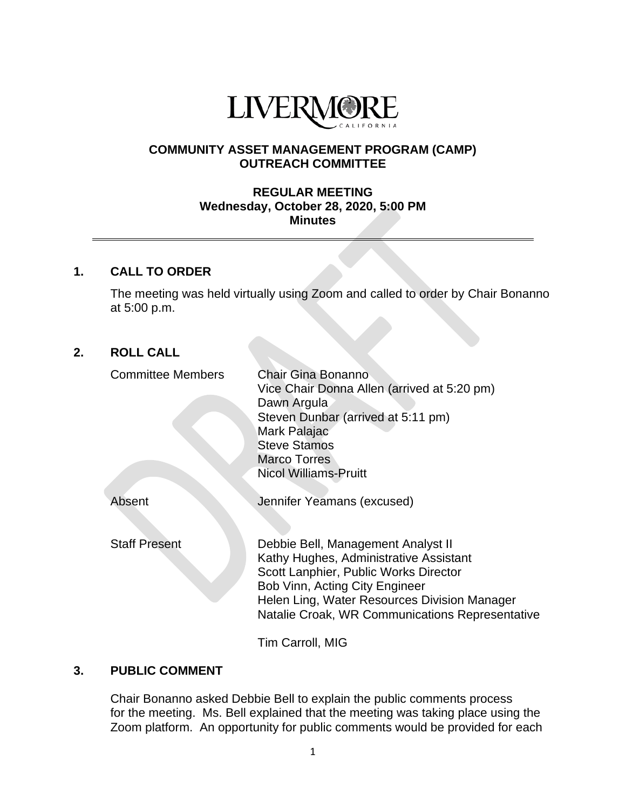

## **COMMUNITY ASSET MANAGEMENT PROGRAM (CAMP) OUTREACH COMMITTEE**

#### **REGULAR MEETING Wednesday, October 28, 2020, 5:00 PM Minutes**

# **1. CALL TO ORDER**

The meeting was held virtually using Zoom and called to order by Chair Bonanno at 5:00 p.m.

# **2. ROLL CALL**

| <b>Committee Members</b> | Chair Gina Bonanno<br>Vice Chair Donna Allen (arrived at 5:20 pm)<br>Dawn Argula<br>Steven Dunbar (arrived at 5:11 pm)<br>Mark Palajac<br><b>Steve Stamos</b><br><b>Marco Torres</b><br>Nicol Williams-Pruitt                                              |
|--------------------------|------------------------------------------------------------------------------------------------------------------------------------------------------------------------------------------------------------------------------------------------------------|
| Absent                   | Jennifer Yeamans (excused)                                                                                                                                                                                                                                 |
| <b>Staff Present</b>     | Debbie Bell, Management Analyst II<br>Kathy Hughes, Administrative Assistant<br>Scott Lanphier, Public Works Director<br>Bob Vinn, Acting City Engineer<br>Helen Ling, Water Resources Division Manager<br>Natalie Croak, WR Communications Representative |
|                          | Tim Carroll, MIG                                                                                                                                                                                                                                           |

#### **3. PUBLIC COMMENT**

Chair Bonanno asked Debbie Bell to explain the public comments process for the meeting. Ms. Bell explained that the meeting was taking place using the Zoom platform. An opportunity for public comments would be provided for each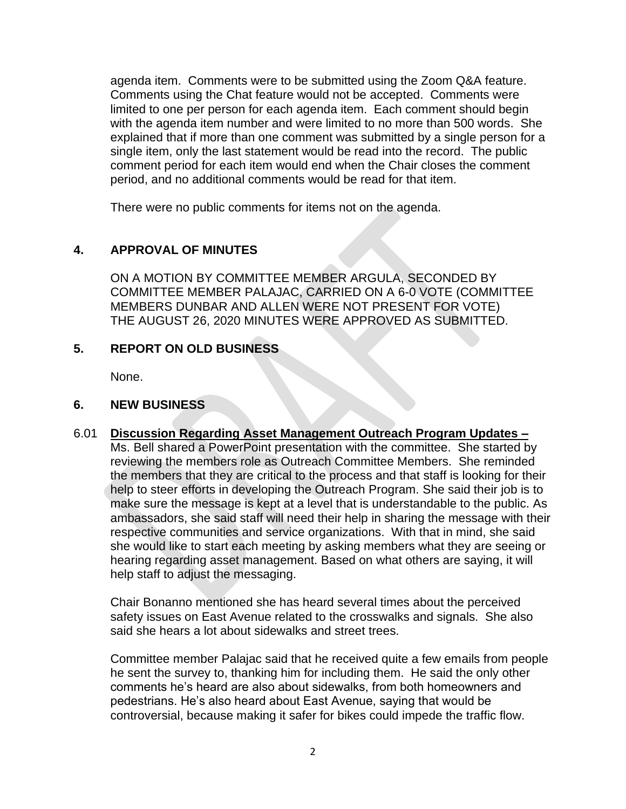agenda item. Comments were to be submitted using the Zoom Q&A feature. Comments using the Chat feature would not be accepted. Comments were limited to one per person for each agenda item. Each comment should begin with the agenda item number and were limited to no more than 500 words. She explained that if more than one comment was submitted by a single person for a single item, only the last statement would be read into the record. The public comment period for each item would end when the Chair closes the comment period, and no additional comments would be read for that item.

There were no public comments for items not on the agenda.

# **4. APPROVAL OF MINUTES**

ON A MOTION BY COMMITTEE MEMBER ARGULA, SECONDED BY COMMITTEE MEMBER PALAJAC, CARRIED ON A 6-0 VOTE (COMMITTEE MEMBERS DUNBAR AND ALLEN WERE NOT PRESENT FOR VOTE) THE AUGUST 26, 2020 MINUTES WERE APPROVED AS SUBMITTED.

# **5. REPORT ON OLD BUSINESS**

None.

## **6. NEW BUSINESS**

6.01 **Discussion Regarding Asset Management Outreach Program Updates –** Ms. Bell shared a PowerPoint presentation with the committee. She started by reviewing the members role as Outreach Committee Members. She reminded the members that they are critical to the process and that staff is looking for their help to steer efforts in developing the Outreach Program. She said their job is to make sure the message is kept at a level that is understandable to the public. As ambassadors, she said staff will need their help in sharing the message with their respective communities and service organizations. With that in mind, she said she would like to start each meeting by asking members what they are seeing or hearing regarding asset management. Based on what others are saying, it will help staff to adjust the messaging.

Chair Bonanno mentioned she has heard several times about the perceived safety issues on East Avenue related to the crosswalks and signals. She also said she hears a lot about sidewalks and street trees.

Committee member Palajac said that he received quite a few emails from people he sent the survey to, thanking him for including them. He said the only other comments he's heard are also about sidewalks, from both homeowners and pedestrians. He's also heard about East Avenue, saying that would be controversial, because making it safer for bikes could impede the traffic flow.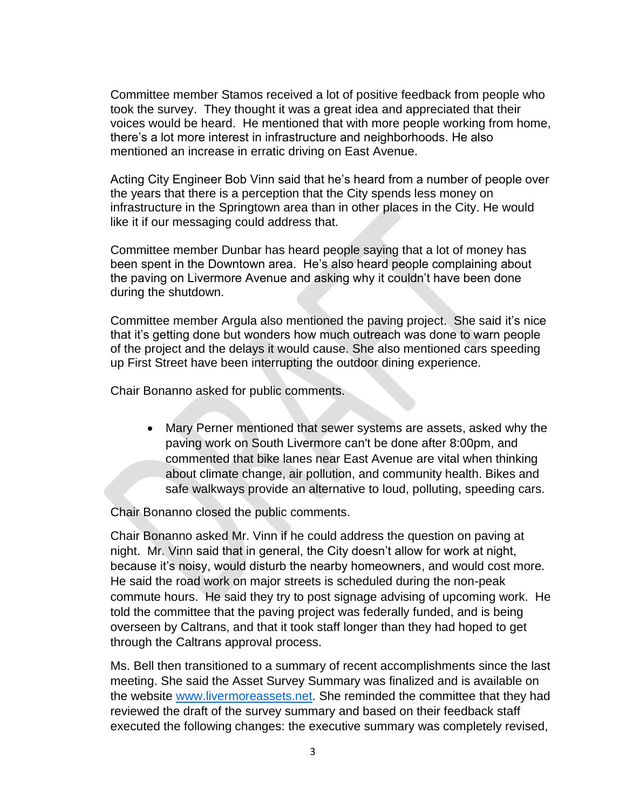Committee member Stamos received a lot of positive feedback from people who took the survey. They thought it was a great idea and appreciated that their voices would be heard. He mentioned that with more people working from home, there's a lot more interest in infrastructure and neighborhoods. He also mentioned an increase in erratic driving on East Avenue.

Acting City Engineer Bob Vinn said that he's heard from a number of people over the years that there is a perception that the City spends less money on infrastructure in the Springtown area than in other places in the City. He would like it if our messaging could address that.

Committee member Dunbar has heard people saying that a lot of money has been spent in the Downtown area. He's also heard people complaining about the paving on Livermore Avenue and asking why it couldn't have been done during the shutdown.

Committee member Argula also mentioned the paving project. She said it's nice that it's getting done but wonders how much outreach was done to warn people of the project and the delays it would cause. She also mentioned cars speeding up First Street have been interrupting the outdoor dining experience.

Chair Bonanno asked for public comments.

• Mary Perner mentioned that sewer systems are assets, asked why the paving work on South Livermore can't be done after 8:00pm, and commented that bike lanes near East Avenue are vital when thinking about climate change, air pollution, and community health. Bikes and safe walkways provide an alternative to loud, polluting, speeding cars.

Chair Bonanno closed the public comments.

Chair Bonanno asked Mr. Vinn if he could address the question on paving at night. Mr. Vinn said that in general, the City doesn't allow for work at night, because it's noisy, would disturb the nearby homeowners, and would cost more. He said the road work on major streets is scheduled during the non-peak commute hours. He said they try to post signage advising of upcoming work. He told the committee that the paving project was federally funded, and is being overseen by Caltrans, and that it took staff longer than they had hoped to get through the Caltrans approval process.

Ms. Bell then transitioned to a summary of recent accomplishments since the last meeting. She said the Asset Survey Summary was finalized and is available on the website [www.livermoreassets.net.](http://www.livermoreassets.net/) She reminded the committee that they had reviewed the draft of the survey summary and based on their feedback staff executed the following changes: the executive summary was completely revised,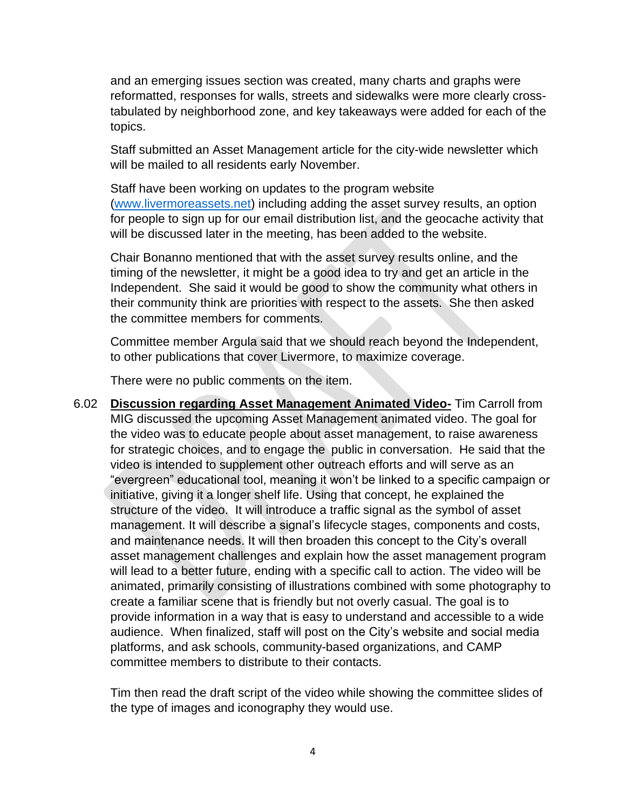and an emerging issues section was created, many charts and graphs were reformatted, responses for walls, streets and sidewalks were more clearly crosstabulated by neighborhood zone, and key takeaways were added for each of the topics.

Staff submitted an Asset Management article for the city-wide newsletter which will be mailed to all residents early November.

Staff have been working on updates to the program website [\(www.livermoreassets.net\)](http://www.livermoreassets.net/) including adding the asset survey results, an option for people to sign up for our email distribution list, and the geocache activity that will be discussed later in the meeting, has been added to the website.

Chair Bonanno mentioned that with the asset survey results online, and the timing of the newsletter, it might be a good idea to try and get an article in the Independent. She said it would be good to show the community what others in their community think are priorities with respect to the assets. She then asked the committee members for comments.

Committee member Argula said that we should reach beyond the Independent, to other publications that cover Livermore, to maximize coverage.

There were no public comments on the item.

6.02 **Discussion regarding Asset Management Animated Video-** Tim Carroll from MIG discussed the upcoming Asset Management animated video. The goal for the video was to educate people about asset management, to raise awareness for strategic choices, and to engage the public in conversation. He said that the video is intended to supplement other outreach efforts and will serve as an "evergreen" educational tool, meaning it won't be linked to a specific campaign or initiative, giving it a longer shelf life. Using that concept, he explained the structure of the video. It will introduce a traffic signal as the symbol of asset management. It will describe a signal's lifecycle stages, components and costs, and maintenance needs. It will then broaden this concept to the City's overall asset management challenges and explain how the asset management program will lead to a better future, ending with a specific call to action. The video will be animated, primarily consisting of illustrations combined with some photography to create a familiar scene that is friendly but not overly casual. The goal is to provide information in a way that is easy to understand and accessible to a wide audience. When finalized, staff will post on the City's website and social media platforms, and ask schools, community-based organizations, and CAMP committee members to distribute to their contacts.

Tim then read the draft script of the video while showing the committee slides of the type of images and iconography they would use.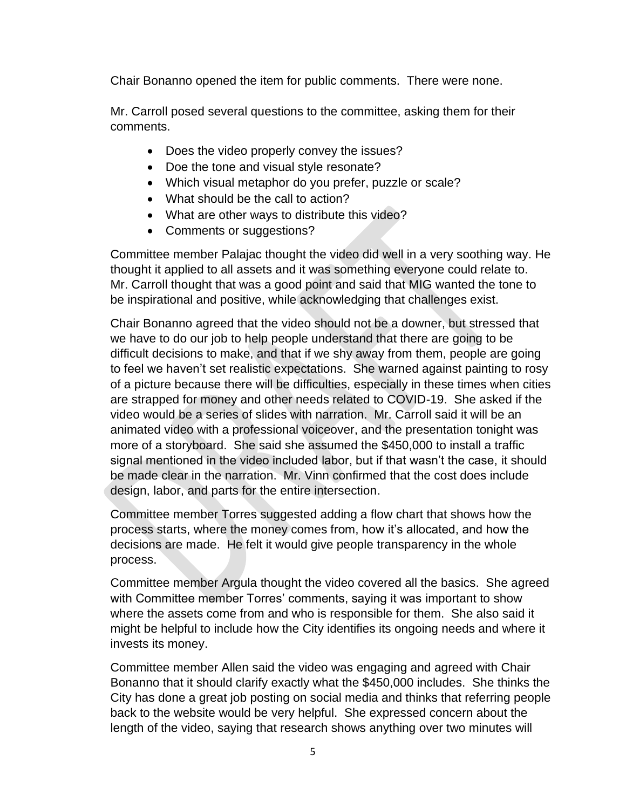Chair Bonanno opened the item for public comments. There were none.

Mr. Carroll posed several questions to the committee, asking them for their comments.

- Does the video properly convey the issues?
- Doe the tone and visual style resonate?
- Which visual metaphor do you prefer, puzzle or scale?
- What should be the call to action?
- What are other ways to distribute this video?
- Comments or suggestions?

Committee member Palajac thought the video did well in a very soothing way. He thought it applied to all assets and it was something everyone could relate to. Mr. Carroll thought that was a good point and said that MIG wanted the tone to be inspirational and positive, while acknowledging that challenges exist.

Chair Bonanno agreed that the video should not be a downer, but stressed that we have to do our job to help people understand that there are going to be difficult decisions to make, and that if we shy away from them, people are going to feel we haven't set realistic expectations. She warned against painting to rosy of a picture because there will be difficulties, especially in these times when cities are strapped for money and other needs related to COVID-19. She asked if the video would be a series of slides with narration. Mr. Carroll said it will be an animated video with a professional voiceover, and the presentation tonight was more of a storyboard. She said she assumed the \$450,000 to install a traffic signal mentioned in the video included labor, but if that wasn't the case, it should be made clear in the narration. Mr. Vinn confirmed that the cost does include design, labor, and parts for the entire intersection.

Committee member Torres suggested adding a flow chart that shows how the process starts, where the money comes from, how it's allocated, and how the decisions are made. He felt it would give people transparency in the whole process.

Committee member Argula thought the video covered all the basics. She agreed with Committee member Torres' comments, saying it was important to show where the assets come from and who is responsible for them. She also said it might be helpful to include how the City identifies its ongoing needs and where it invests its money.

Committee member Allen said the video was engaging and agreed with Chair Bonanno that it should clarify exactly what the \$450,000 includes. She thinks the City has done a great job posting on social media and thinks that referring people back to the website would be very helpful. She expressed concern about the length of the video, saying that research shows anything over two minutes will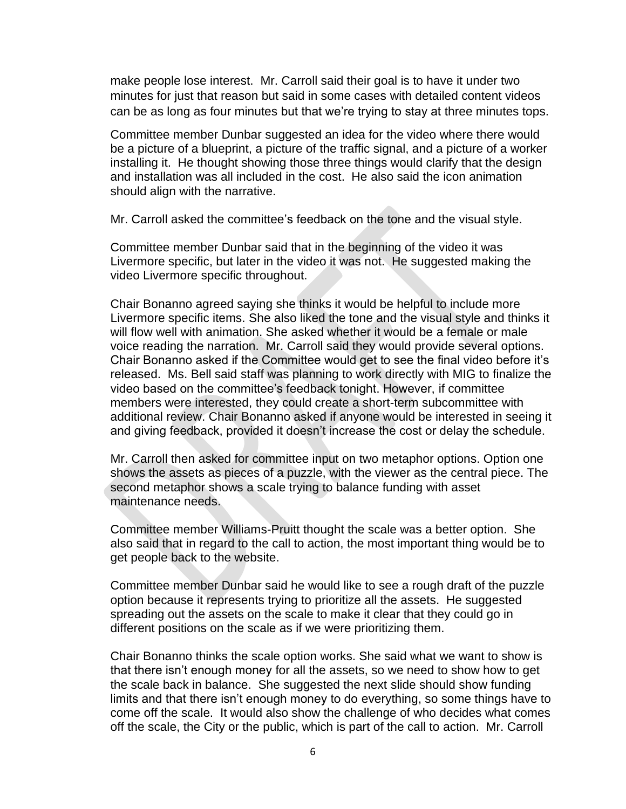make people lose interest. Mr. Carroll said their goal is to have it under two minutes for just that reason but said in some cases with detailed content videos can be as long as four minutes but that we're trying to stay at three minutes tops.

Committee member Dunbar suggested an idea for the video where there would be a picture of a blueprint, a picture of the traffic signal, and a picture of a worker installing it. He thought showing those three things would clarify that the design and installation was all included in the cost. He also said the icon animation should align with the narrative.

Mr. Carroll asked the committee's feedback on the tone and the visual style.

Committee member Dunbar said that in the beginning of the video it was Livermore specific, but later in the video it was not. He suggested making the video Livermore specific throughout.

Chair Bonanno agreed saying she thinks it would be helpful to include more Livermore specific items. She also liked the tone and the visual style and thinks it will flow well with animation. She asked whether it would be a female or male voice reading the narration. Mr. Carroll said they would provide several options. Chair Bonanno asked if the Committee would get to see the final video before it's released. Ms. Bell said staff was planning to work directly with MIG to finalize the video based on the committee's feedback tonight. However, if committee members were interested, they could create a short-term subcommittee with additional review. Chair Bonanno asked if anyone would be interested in seeing it and giving feedback, provided it doesn't increase the cost or delay the schedule.

Mr. Carroll then asked for committee input on two metaphor options. Option one shows the assets as pieces of a puzzle, with the viewer as the central piece. The second metaphor shows a scale trying to balance funding with asset maintenance needs.

Committee member Williams-Pruitt thought the scale was a better option. She also said that in regard to the call to action, the most important thing would be to get people back to the website.

Committee member Dunbar said he would like to see a rough draft of the puzzle option because it represents trying to prioritize all the assets. He suggested spreading out the assets on the scale to make it clear that they could go in different positions on the scale as if we were prioritizing them.

Chair Bonanno thinks the scale option works. She said what we want to show is that there isn't enough money for all the assets, so we need to show how to get the scale back in balance. She suggested the next slide should show funding limits and that there isn't enough money to do everything, so some things have to come off the scale. It would also show the challenge of who decides what comes off the scale, the City or the public, which is part of the call to action. Mr. Carroll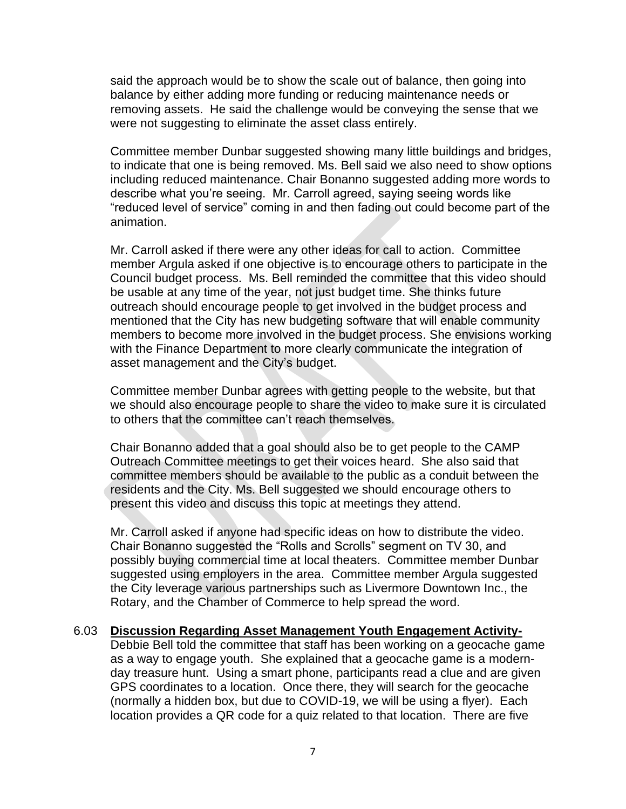said the approach would be to show the scale out of balance, then going into balance by either adding more funding or reducing maintenance needs or removing assets. He said the challenge would be conveying the sense that we were not suggesting to eliminate the asset class entirely.

Committee member Dunbar suggested showing many little buildings and bridges, to indicate that one is being removed. Ms. Bell said we also need to show options including reduced maintenance. Chair Bonanno suggested adding more words to describe what you're seeing. Mr. Carroll agreed, saying seeing words like "reduced level of service" coming in and then fading out could become part of the animation.

Mr. Carroll asked if there were any other ideas for call to action. Committee member Argula asked if one objective is to encourage others to participate in the Council budget process. Ms. Bell reminded the committee that this video should be usable at any time of the year, not just budget time. She thinks future outreach should encourage people to get involved in the budget process and mentioned that the City has new budgeting software that will enable community members to become more involved in the budget process. She envisions working with the Finance Department to more clearly communicate the integration of asset management and the City's budget.

Committee member Dunbar agrees with getting people to the website, but that we should also encourage people to share the video to make sure it is circulated to others that the committee can't reach themselves.

Chair Bonanno added that a goal should also be to get people to the CAMP Outreach Committee meetings to get their voices heard. She also said that committee members should be available to the public as a conduit between the residents and the City. Ms. Bell suggested we should encourage others to present this video and discuss this topic at meetings they attend.

Mr. Carroll asked if anyone had specific ideas on how to distribute the video. Chair Bonanno suggested the "Rolls and Scrolls" segment on TV 30, and possibly buying commercial time at local theaters. Committee member Dunbar suggested using employers in the area. Committee member Argula suggested the City leverage various partnerships such as Livermore Downtown Inc., the Rotary, and the Chamber of Commerce to help spread the word.

6.03 **Discussion Regarding Asset Management Youth Engagement Activity-**Debbie Bell told the committee that staff has been working on a geocache game as a way to engage youth. She explained that a geocache game is a modernday treasure hunt. Using a smart phone, participants read a clue and are given GPS coordinates to a location. Once there, they will search for the geocache (normally a hidden box, but due to COVID-19, we will be using a flyer). Each location provides a QR code for a quiz related to that location. There are five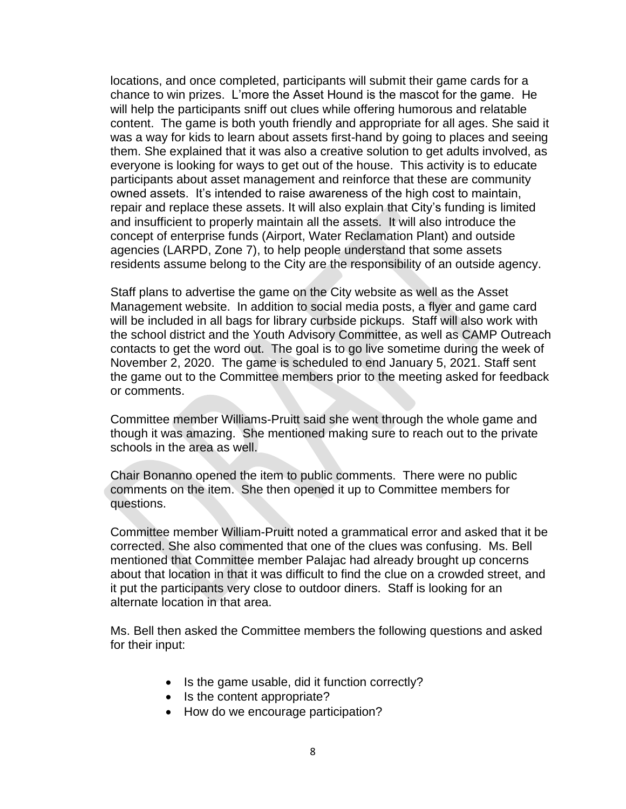locations, and once completed, participants will submit their game cards for a chance to win prizes. L'more the Asset Hound is the mascot for the game. He will help the participants sniff out clues while offering humorous and relatable content. The game is both youth friendly and appropriate for all ages. She said it was a way for kids to learn about assets first-hand by going to places and seeing them. She explained that it was also a creative solution to get adults involved, as everyone is looking for ways to get out of the house. This activity is to educate participants about asset management and reinforce that these are community owned assets. It's intended to raise awareness of the high cost to maintain, repair and replace these assets. It will also explain that City's funding is limited and insufficient to properly maintain all the assets. It will also introduce the concept of enterprise funds (Airport, Water Reclamation Plant) and outside agencies (LARPD, Zone 7), to help people understand that some assets residents assume belong to the City are the responsibility of an outside agency.

Staff plans to advertise the game on the City website as well as the Asset Management website. In addition to social media posts, a flyer and game card will be included in all bags for library curbside pickups. Staff will also work with the school district and the Youth Advisory Committee, as well as CAMP Outreach contacts to get the word out. The goal is to go live sometime during the week of November 2, 2020. The game is scheduled to end January 5, 2021. Staff sent the game out to the Committee members prior to the meeting asked for feedback or comments.

Committee member Williams-Pruitt said she went through the whole game and though it was amazing. She mentioned making sure to reach out to the private schools in the area as well.

Chair Bonanno opened the item to public comments. There were no public comments on the item. She then opened it up to Committee members for questions.

Committee member William-Pruitt noted a grammatical error and asked that it be corrected. She also commented that one of the clues was confusing. Ms. Bell mentioned that Committee member Palajac had already brought up concerns about that location in that it was difficult to find the clue on a crowded street, and it put the participants very close to outdoor diners. Staff is looking for an alternate location in that area.

Ms. Bell then asked the Committee members the following questions and asked for their input:

- Is the game usable, did it function correctly?
- Is the content appropriate?
- How do we encourage participation?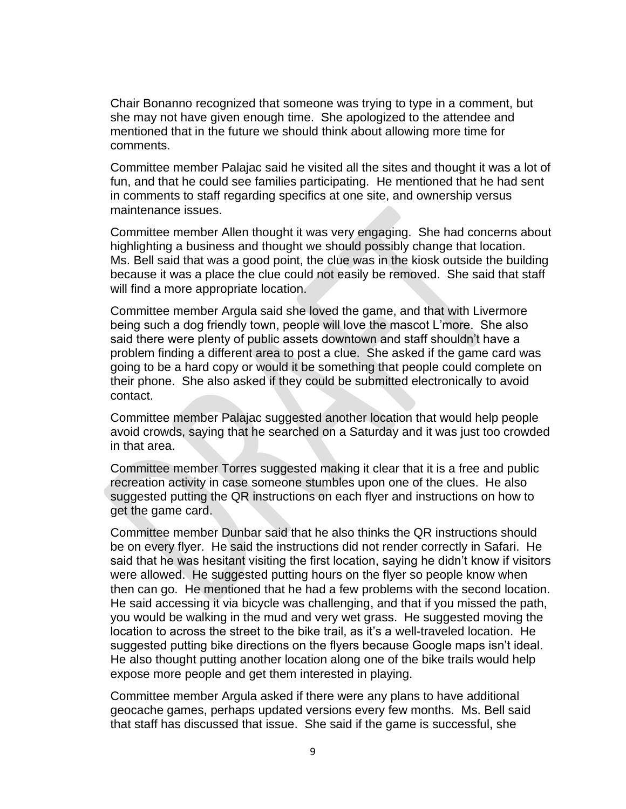Chair Bonanno recognized that someone was trying to type in a comment, but she may not have given enough time. She apologized to the attendee and mentioned that in the future we should think about allowing more time for comments.

Committee member Palajac said he visited all the sites and thought it was a lot of fun, and that he could see families participating. He mentioned that he had sent in comments to staff regarding specifics at one site, and ownership versus maintenance issues.

Committee member Allen thought it was very engaging. She had concerns about highlighting a business and thought we should possibly change that location. Ms. Bell said that was a good point, the clue was in the kiosk outside the building because it was a place the clue could not easily be removed. She said that staff will find a more appropriate location.

Committee member Argula said she loved the game, and that with Livermore being such a dog friendly town, people will love the mascot L'more. She also said there were plenty of public assets downtown and staff shouldn't have a problem finding a different area to post a clue. She asked if the game card was going to be a hard copy or would it be something that people could complete on their phone. She also asked if they could be submitted electronically to avoid contact.

Committee member Palajac suggested another location that would help people avoid crowds, saying that he searched on a Saturday and it was just too crowded in that area.

Committee member Torres suggested making it clear that it is a free and public recreation activity in case someone stumbles upon one of the clues. He also suggested putting the QR instructions on each flyer and instructions on how to get the game card.

Committee member Dunbar said that he also thinks the QR instructions should be on every flyer. He said the instructions did not render correctly in Safari. He said that he was hesitant visiting the first location, saying he didn't know if visitors were allowed. He suggested putting hours on the flyer so people know when then can go. He mentioned that he had a few problems with the second location. He said accessing it via bicycle was challenging, and that if you missed the path, you would be walking in the mud and very wet grass. He suggested moving the location to across the street to the bike trail, as it's a well-traveled location. He suggested putting bike directions on the flyers because Google maps isn't ideal. He also thought putting another location along one of the bike trails would help expose more people and get them interested in playing.

Committee member Argula asked if there were any plans to have additional geocache games, perhaps updated versions every few months. Ms. Bell said that staff has discussed that issue. She said if the game is successful, she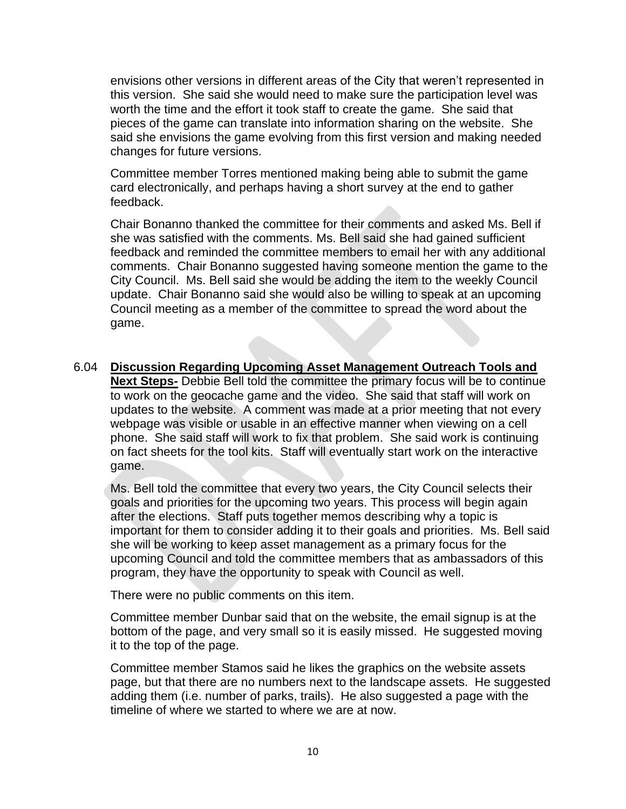envisions other versions in different areas of the City that weren't represented in this version. She said she would need to make sure the participation level was worth the time and the effort it took staff to create the game. She said that pieces of the game can translate into information sharing on the website. She said she envisions the game evolving from this first version and making needed changes for future versions.

Committee member Torres mentioned making being able to submit the game card electronically, and perhaps having a short survey at the end to gather feedback.

Chair Bonanno thanked the committee for their comments and asked Ms. Bell if she was satisfied with the comments. Ms. Bell said she had gained sufficient feedback and reminded the committee members to email her with any additional comments. Chair Bonanno suggested having someone mention the game to the City Council. Ms. Bell said she would be adding the item to the weekly Council update. Chair Bonanno said she would also be willing to speak at an upcoming Council meeting as a member of the committee to spread the word about the game.

6.04 **Discussion Regarding Upcoming Asset Management Outreach Tools and Next Steps-** Debbie Bell told the committee the primary focus will be to continue to work on the geocache game and the video. She said that staff will work on updates to the website. A comment was made at a prior meeting that not every webpage was visible or usable in an effective manner when viewing on a cell phone. She said staff will work to fix that problem. She said work is continuing on fact sheets for the tool kits. Staff will eventually start work on the interactive game.

Ms. Bell told the committee that every two years, the City Council selects their goals and priorities for the upcoming two years. This process will begin again after the elections. Staff puts together memos describing why a topic is important for them to consider adding it to their goals and priorities. Ms. Bell said she will be working to keep asset management as a primary focus for the upcoming Council and told the committee members that as ambassadors of this program, they have the opportunity to speak with Council as well.

There were no public comments on this item.

Committee member Dunbar said that on the website, the email signup is at the bottom of the page, and very small so it is easily missed. He suggested moving it to the top of the page.

Committee member Stamos said he likes the graphics on the website assets page, but that there are no numbers next to the landscape assets. He suggested adding them (i.e. number of parks, trails). He also suggested a page with the timeline of where we started to where we are at now.